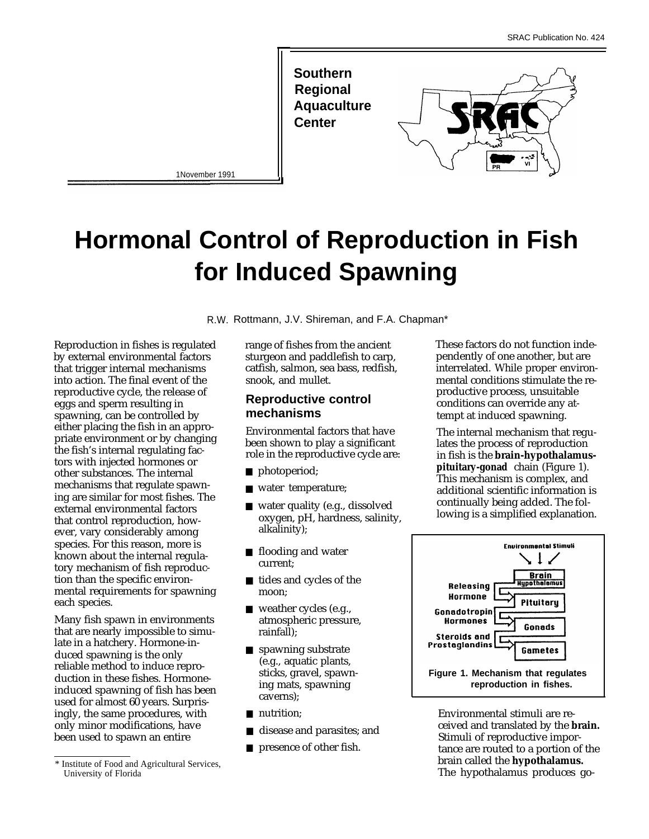



1November 1991

# **Hormonal Control of Reproduction in Fish for Induced Spawning**

R.W. Rottmann, J.V. Shireman, and F.A. Chapman\*

Reproduction in fishes is regulated by external environmental factors that trigger internal mechanisms into action. The final event of the reproductive cycle, the release of eggs and sperm resulting in spawning, can be controlled by either placing the fish in an appropriate environment or by changing the fish's internal regulating factors with injected hormones or other substances. The internal mechanisms that regulate spawning are similar for most fishes. The external environmental factors that control reproduction, however, vary considerably among species. For this reason, more is known about the internal regulatory mechanism of fish reproduction than the specific environmental requirements for spawning each species.

Many fish spawn in environments that are nearly impossible to simulate in a hatchery. Hormone-induced spawning is the only reliable method to induce reproduction in these fishes. Hormoneinduced spawning of fish has been used for almost 60 years. Surprisingly, the same procedures, with only minor modifications, have been used to spawn an entire

sturgeon and paddlefish to carp,

#### **Reproductive control mechanisms**

- photoperiod;
- water temperature;
- water quality (e.g., dissolved oxygen, pH, hardness, salinity, alkalinity);
- flooding and water current;
- tides and cycles of the moon;
- weather cycles (e.g., atmospheric pressure, rainfall);
- spawning substrate (e.g., aquatic plants, sticks, gravel, spawning mats, spawning caverns);
- nutrition;
- disease and parasites; and
- presence of other fish.

range of fishes from the ancient<br>sturgeon and paddlefish to carp.<br>pendently of one another, but are catfish, salmon, sea bass, redfish, interrelated. While proper environ-<br>snook, and mullet. mental conditions stimulate the remental conditions stimulate the reproductive process, unsuitable conditions can override any attempt at induced spawning.

Environmental factors that have The internal mechanism that regu-<br>been shown to play a significant lates the process of reproduction been shown to play a significant lates the process of reproduction<br>role in the reproductive cycle are: limitsh is the **brain-hypothalamus** in fish is the **brain-hypothalamuspituitary-gonad** chain (Figure 1). This mechanism is complex, and additional scientific information is continually being added. The following is a simplified explanation.



Environmental stimuli are received and translated by the **brain.** Stimuli of reproductive importance are routed to a portion of the brain called the **hypothalamus.** The hypothalamus produces go-

<sup>\*</sup> Institute of Food and Agricultural Services, University of Florida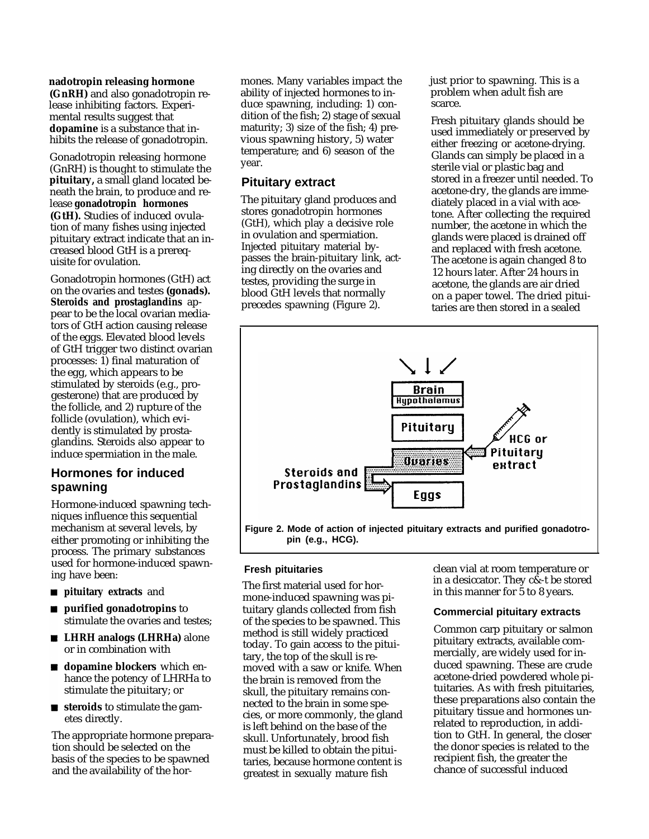**nadotropin releasing hormone**

**(GnRH)** and also gonadotropin release inhibiting factors. Experimental results suggest that **dopamine** is a substance that inhibits the release of gonadotropin.

Gonadotropin releasing hormone (GnRH) is thought to stimulate the **pituitary,** a small gland located beneath the brain, to produce and release **gonadotropin hormones (GtH).** Studies of induced ovulation of many fishes using injected pituitary extract indicate that an increased blood GtH is a prerequisite for ovulation.

Gonadotropin hormones (GtH) act on the ovaries and testes **(gonads). Steroids and prostaglandins** appear to be the local ovarian mediators of GtH action causing release of the eggs. Elevated blood levels of GtH trigger two distinct ovarian processes: 1) final maturation of the egg, which appears to be stimulated by steroids (e.g., progesterone) that are produced by the follicle, and 2) rupture of the follicle (ovulation), which evidently is stimulated by prostaglandins. Steroids also appear to induce spermiation in the male.

#### **Hormones for induced spawning**

Hormone-induced spawning techniques influence this sequential mechanism at several levels, by either promoting or inhibiting the process. The primary substances used for hormone-induced spawning have been:

- **pituitary extracts** and
- **purified gonadotropins** to stimulate the ovaries and testes;
- **LHRH analogs (LHRHa)** alone or in combination with
- **dopamine blockers** which enhance the potency of LHRHa to stimulate the pituitary; or
- **steroids** to stimulate the gametes directly.

The appropriate hormone preparation should be selected on the basis of the species to be spawned and the availability of the hormones. Many variables impact the ability of injected hormones to induce spawning, including: 1) condition of the fish; 2) stage of sexual maturity; 3) size of the fish; 4) previous spawning history, 5) water temperature; and 6) season of the year.

#### **Pituitary extract**

The pituitary gland produces and stores gonadotropin hormones (GtH), which play a decisive role in ovulation and spermiation. Injected pituitary material bypasses the brain-pituitary link, acting directly on the ovaries and testes, providing the surge in blood GtH levels that normally precedes spawning (Figure 2).

just prior to spawning. This is a problem when adult fish are scarce.

Fresh pituitary glands should be used immediately or preserved by either freezing or acetone-drying. Glands can simply be placed in a sterile vial or plastic bag and stored in a freezer until needed. To acetone-dry, the glands are immediately placed in a vial with acetone. After collecting the required number, the acetone in which the glands were placed is drained off and replaced with fresh acetone. The acetone is again changed 8 to 12 hours later. After 24 hours in acetone, the glands are air dried on a paper towel. The dried pituitaries are then stored in a sealed



**Figure 2. Mode of action of injected pituitary extracts and purified gonadotropin (e.g., HCG).**

The first material used for hor-<br>in this manner for  $\frac{5 \text{ to } 8 \text{ years}}{2 \text{ years}}$ mone-induced spawning was pituitary glands collected from fish of the species to be spawned. This method is still widely practiced today. To gain access to the pituitary, the top of the skull is removed with a saw or knife. When the brain is removed from the skull, the pituitary remains connected to the brain in some species, or more commonly, the gland is left behind on the base of the skull. Unfortunately, brood fish must be killed to obtain the pituitaries, because hormone content is greatest in sexually mature fish

**Fresh pituitaries**<br>
Fresh pituitaries<br>
Free Contract on the leader of the leader of the state of the state of the state of the state of the state of t

#### **Commercial pituitary extracts**

Common carp pituitary or salmon pituitary extracts, available commercially, are widely used for induced spawning. These are crude acetone-dried powdered whole pituitaries. As with fresh pituitaries, these preparations also contain the pituitary tissue and hormones unrelated to reproduction, in addition to GtH. In general, the closer the donor species is related to the recipient fish, the greater the chance of successful induced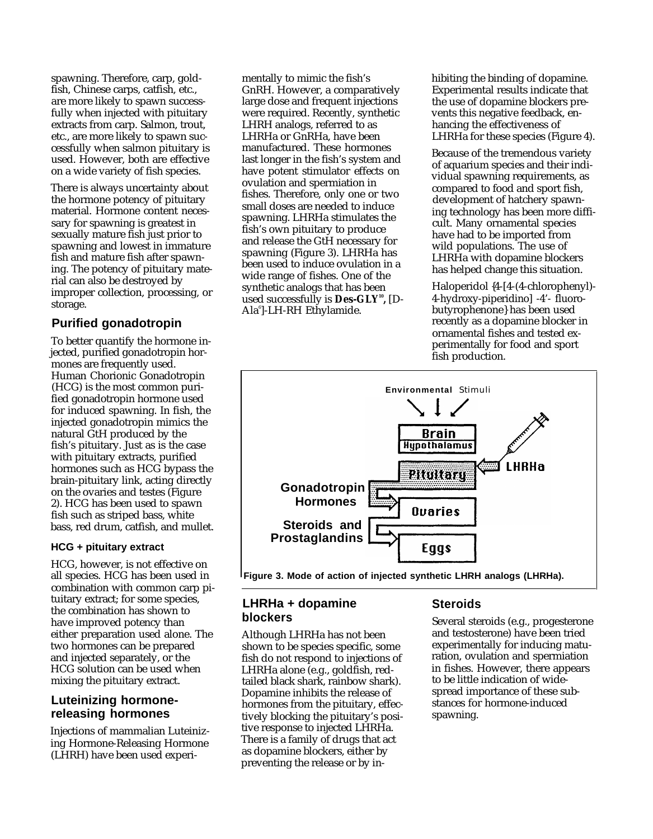spawning. Therefore, carp, goldfish, Chinese carps, catfish, etc., are more likely to spawn successfully when injected with pituitary extracts from carp. Salmon, trout, etc., are more likely to spawn successfully when salmon pituitary is used. However, both are effective on a wide variety of fish species.

There is always uncertainty about the hormone potency of pituitary material. Hormone content necessary for spawning is greatest in sexually mature fish just prior to spawning and lowest in immature fish and mature fish after spawning. The potency of pituitary material can also be destroyed by improper collection, processing, or storage.

#### **Purified gonadotropin**

To better quantify the hormone injected, purified gonadotropin hormones are frequently used. Human Chorionic Gonadotropin (HCG) is the most common purified gonadotropin hormone used for induced spawning. In fish, the injected gonadotropin mimics the natural GtH produced by the fish's pituitary. Just as is the case with pituitary extracts, purified hormones such as HCG bypass the brain-pituitary link, acting directly on the ovaries and testes (Figure 2). HCG has been used to spawn fish such as striped bass, white bass, red drum, catfish, and mullet.

#### **HCG + pituitary extract**

HCG, however, is not effective on all species. HCG has been used in combination with common carp pituitary extract; for some species, the combination has shown to have improved potency than either preparation used alone. The two hormones can be prepared and injected separately, or the HCG solution can be used when mixing the pituitary extract.

#### **Luteinizing hormonereleasing hormones**

Injections of mammalian Luteinizing Hormone-Releasing Hormone (LHRH) have been used experimentally to mimic the fish's GnRH. However, a comparatively large dose and frequent injections were required. Recently, synthetic LHRH analogs, referred to as LHRHa or GnRHa, have been manufactured. These hormones last longer in the fish's system and have potent stimulator effects on ovulation and spermiation in fishes. Therefore, only one or two small doses are needed to induce spawning. LHRHa stimulates the fish's own pituitary to produce and release the GtH necessary for spawning (Figure 3). LHRHa has been used to induce ovulation in a wide range of fishes. One of the synthetic analogs that has been used successfully is **Des-GLY<sup>10</sup> ,** [D-Ala<sup>6</sup>]-LH-RH Ethylamide.

hibiting the binding of dopamine. Experimental results indicate that the use of dopamine blockers prevents this negative feedback, enhancing the effectiveness of LHRHa for these species (Figure 4).

Because of the tremendous variety of aquarium species and their individual spawning requirements, as compared to food and sport fish, development of hatchery spawning technology has been more difficult. Many ornamental species have had to be imported from wild populations. The use of LHRHa with dopamine blockers has helped change this situation.

Haloperidol {4-[4-(4-chlorophenyl)- 4-hydroxy-piperidino] -4'- fluorobutyrophenone} has been used recently as a dopamine blocker in ornamental fishes and tested experimentally for food and sport fish production.



 **Figure 3. Mode of action of injected synthetic LHRH analogs (LHRHa).**

### **LHRHa + dopamine blockers**

Although LHRHa has not been shown to be species specific, some fish do not respond to injections of LHRHa alone (e.g., goldfish, redtailed black shark, rainbow shark). Dopamine inhibits the release of hormones from the pituitary, effectively blocking the pituitary's positive response to injected LHRHa. There is a family of drugs that act as dopamine blockers, either by preventing the release or by in-

## **Steroids**

Several steroids (e.g., progesterone and testosterone) have been tried experimentally for inducing maturation, ovulation and spermiation in fishes. However, there appears to be little indication of widespread importance of these substances for hormone-induced spawning.